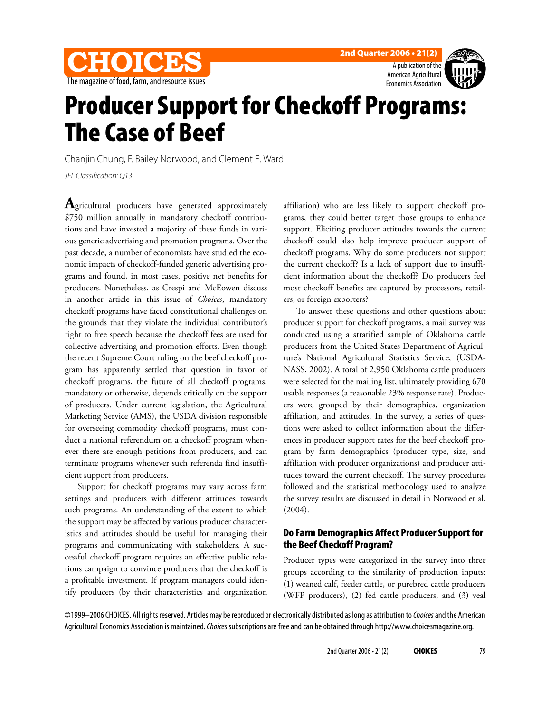





# **Producer Support for Checkoff Programs: The Case of Beef**

Chanjin Chung, F. Bailey Norwood, and Clement E. Ward

JEL Classification: Q13

**A**gricultural producers have generated approximately \$750 million annually in mandatory checkoff contributions and have invested a majority of these funds in various generic advertising and promotion programs. Over the past decade, a number of economists have studied the economic impacts of checkoff-funded generic advertising programs and found, in most cases, positive net benefits for producers. Nonetheless, as Crespi and McEowen discuss in another article in this issue of *Choices*, mandatory checkoff programs have faced constitutional challenges on the grounds that they violate the individual contributor's right to free speech because the checkoff fees are used for collective advertising and promotion efforts. Even though the recent Supreme Court ruling on the beef checkoff program has apparently settled that question in favor of checkoff programs, the future of all checkoff programs, mandatory or otherwise, depends critically on the support of producers. Under current legislation, the Agricultural Marketing Service (AMS), the USDA division responsible for overseeing commodity checkoff programs, must conduct a national referendum on a checkoff program whenever there are enough petitions from producers, and can terminate programs whenever such referenda find insufficient support from producers.

Support for checkoff programs may vary across farm settings and producers with different attitudes towards such programs. An understanding of the extent to which the support may be affected by various producer characteristics and attitudes should be useful for managing their programs and communicating with stakeholders. A successful checkoff program requires an effective public relations campaign to convince producers that the checkoff is a profitable investment. If program managers could identify producers (by their characteristics and organization

affiliation) who are less likely to support checkoff programs, they could better target those groups to enhance support. Eliciting producer attitudes towards the current checkoff could also help improve producer support of checkoff programs. Why do some producers not support the current checkoff? Is a lack of support due to insufficient information about the checkoff? Do producers feel most checkoff benefits are captured by processors, retailers, or foreign exporters?

To answer these questions and other questions about producer support for checkoff programs, a mail survey was conducted using a stratified sample of Oklahoma cattle producers from the United States Department of Agriculture's National Agricultural Statistics Service, (USDA-NASS, 2002). A total of 2,950 Oklahoma cattle producers were selected for the mailing list, ultimately providing 670 usable responses (a reasonable 23% response rate). Producers were grouped by their demographics, organization affiliation, and attitudes. In the survey, a series of questions were asked to collect information about the differences in producer support rates for the beef checkoff program by farm demographics (producer type, size, and affiliation with producer organizations) and producer attitudes toward the current checkoff. The survey procedures followed and the statistical methodology used to analyze the survey results are discussed in detail in Norwood et al. (2004).

## **Do Farm Demographics Affect Producer Support for the Beef Checkoff Program?**

Producer types were categorized in the survey into three groups according to the similarity of production inputs: (1) weaned calf, feeder cattle, or purebred cattle producers (WFP producers), (2) fed cattle producers, and (3) veal

©1999–2006 CHOICES. All rights reserved. Articles may be reproduced or electronically distributed as long as attribution to Choices and the American Agricultural Economics Association is maintained. Choices subscriptions are free and can be obtained through http://www.choicesmagazine.org.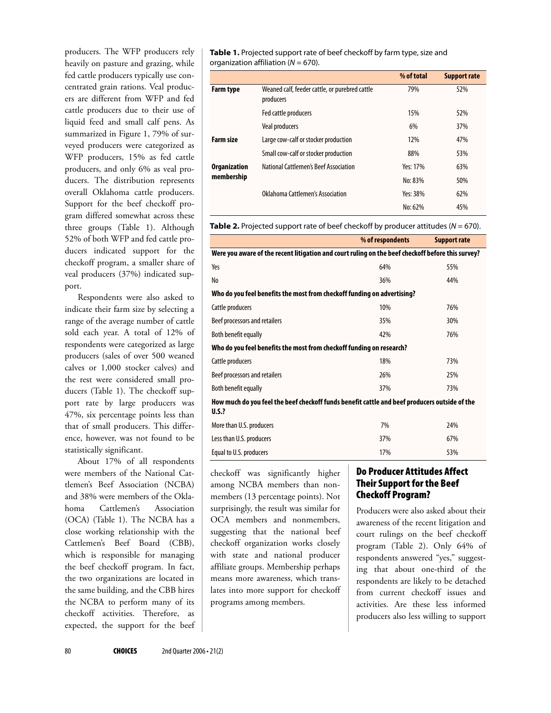producers. The WFP producers rely heavily on pasture and grazing, while fed cattle producers typically use concentrated grain rations. Veal producers are different from WFP and fed cattle producers due to their use of liquid feed and small calf pens. As summarized in Figure 1, 79% of surveyed producers were categorized as WFP producers, 15% as fed cattle producers, and only 6% as veal producers. The distribution represents overall Oklahoma cattle producers. Support for the beef checkoff program differed somewhat across these three groups (Table 1). Although 52% of both WFP and fed cattle producers indicated support for the checkoff program, a smaller share of veal producers (37%) indicated support.

Respondents were also asked to indicate their farm size by selecting a range of the average number of cattle sold each year. A total of 12% of respondents were categorized as large producers (sales of over 500 weaned calves or 1,000 stocker calves) and the rest were considered small producers (Table 1). The checkoff support rate by large producers was 47%, six percentage points less than that of small producers. This difference, however, was not found to be statistically significant.

About 17% of all respondents were members of the National Cattlemen's Beef Association (NCBA) and 38% were members of the Oklahoma Cattlemen's Association (OCA) (Table 1). The NCBA has a close working relationship with the Cattlemen's Beef Board (CBB), which is responsible for managing the beef checkoff program. In fact, the two organizations are located in the same building, and the CBB hires the NCBA to perform many of its checkoff activities. Therefore, as expected, the support for the beef

**Table 1.** Projected support rate of beef checkoff by farm type, size and organization affiliation ( $N = 670$ ).

|                                   |                                                             | % of total | <b>Support rate</b> |
|-----------------------------------|-------------------------------------------------------------|------------|---------------------|
| <b>Farm type</b>                  | Weaned calf, feeder cattle, or purebred cattle<br>producers | 79%        | 52%                 |
|                                   | Fed cattle producers                                        | 15%        | 52%                 |
|                                   | <b>Veal producers</b>                                       | 6%         | 37%                 |
| <b>Farm size</b>                  | Large cow-calf or stocker production                        | 12%        | 47%                 |
|                                   | Small cow-calf or stocker production                        | 88%        | 53%                 |
| <b>Organization</b><br>membership | National Cattlemen's Beef Association                       | Yes: 17%   | 63%                 |
|                                   |                                                             | No: 83%    | 50%                 |
|                                   | Oklahoma Cattlemen's Association                            | Yes: 38%   | 62%                 |
|                                   |                                                             | No: 62%    | 45%                 |

**Table 2.** Projected support rate of beef checkoff by producer attitudes ( $N = 670$ ).

|                                                                                                               | % of respondents | <b>Support rate</b> |  |  |  |
|---------------------------------------------------------------------------------------------------------------|------------------|---------------------|--|--|--|
| Were you aware of the recent litigation and court ruling on the beef checkoff before this survey?             |                  |                     |  |  |  |
| Yes                                                                                                           | 64%              | 55%                 |  |  |  |
| No                                                                                                            | 36%              | 44%                 |  |  |  |
| Who do you feel benefits the most from checkoff funding on advertising?                                       |                  |                     |  |  |  |
| Cattle producers                                                                                              | 10%              | 76%                 |  |  |  |
| Beef processors and retailers                                                                                 | 35%              | 30%                 |  |  |  |
| Both benefit equally                                                                                          | 42%              | 76%                 |  |  |  |
| Who do you feel benefits the most from checkoff funding on research?                                          |                  |                     |  |  |  |
| Cattle producers                                                                                              | 18%              | 73%                 |  |  |  |
| Beef processors and retailers                                                                                 | 26%              | 25%                 |  |  |  |
| Both benefit equally                                                                                          | 37%              | 73%                 |  |  |  |
| How much do you feel the beef checkoff funds benefit cattle and beef producers outside of the<br><b>U.S.?</b> |                  |                     |  |  |  |
| More than U.S. producers                                                                                      | 7%               | 24%                 |  |  |  |
| Less than U.S. producers                                                                                      | 37%              | 67%                 |  |  |  |
| Equal to U.S. producers                                                                                       | 17%              | 53%                 |  |  |  |

checkoff was significantly higher among NCBA members than nonmembers (13 percentage points). Not surprisingly, the result was similar for OCA members and nonmembers, suggesting that the national beef checkoff organization works closely with state and national producer affiliate groups. Membership perhaps means more awareness, which translates into more support for checkoff programs among members.

## **Do Producer Attitudes Affect Their Support for the Beef Checkoff Program?**

Producers were also asked about their awareness of the recent litigation and court rulings on the beef checkoff program (Table 2). Only 64% of respondents answered "yes," suggesting that about one-third of the respondents are likely to be detached from current checkoff issues and activities. Are these less informed producers also less willing to support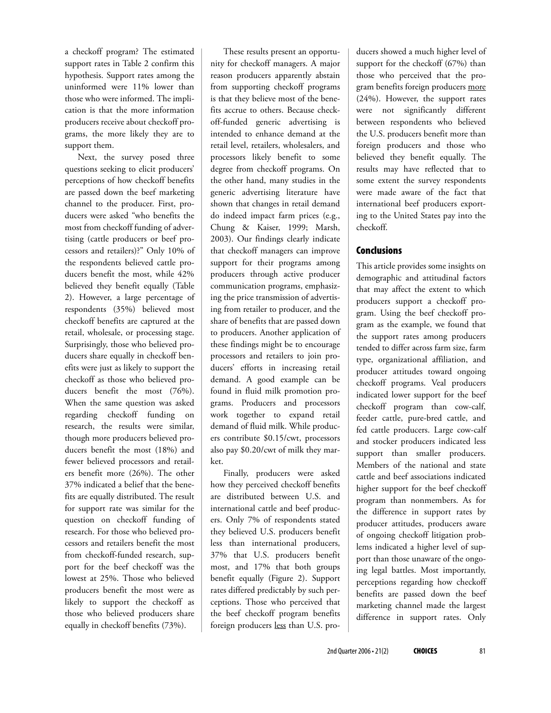a checkoff program? The estimated support rates in Table 2 confirm this hypothesis. Support rates among the uninformed were 11% lower than those who were informed. The implication is that the more information producers receive about checkoff programs, the more likely they are to support them.

Next, the survey posed three questions seeking to elicit producers' perceptions of how checkoff benefits are passed down the beef marketing channel to the producer. First, producers were asked "who benefits the most from checkoff funding of advertising (cattle producers or beef processors and retailers)?" Only 10% of the respondents believed cattle producers benefit the most, while 42% believed they benefit equally (Table 2). However, a large percentage of respondents (35%) believed most checkoff benefits are captured at the retail, wholesale, or processing stage. Surprisingly, those who believed producers share equally in checkoff benefits were just as likely to support the checkoff as those who believed producers benefit the most (76%). When the same question was asked regarding checkoff funding on research, the results were similar, though more producers believed producers benefit the most (18%) and fewer believed processors and retailers benefit more (26%). The other 37% indicated a belief that the benefits are equally distributed. The result for support rate was similar for the question on checkoff funding of research. For those who believed processors and retailers benefit the most from checkoff-funded research, support for the beef checkoff was the lowest at 25%. Those who believed producers benefit the most were as likely to support the checkoff as those who believed producers share equally in checkoff benefits (73%).

These results present an opportunity for checkoff managers. A major reason producers apparently abstain from supporting checkoff programs is that they believe most of the benefits accrue to others. Because checkoff-funded generic advertising is intended to enhance demand at the retail level, retailers, wholesalers, and processors likely benefit to some degree from checkoff programs. On the other hand, many studies in the generic advertising literature have shown that changes in retail demand do indeed impact farm prices (e.g., Chung & Kaiser, 1999; Marsh, 2003). Our findings clearly indicate that checkoff managers can improve support for their programs among producers through active producer communication programs, emphasizing the price transmission of advertising from retailer to producer, and the share of benefits that are passed down to producers. Another application of these findings might be to encourage processors and retailers to join producers' efforts in increasing retail demand. A good example can be found in fluid milk promotion programs. Producers and processors work together to expand retail demand of fluid milk. While producers contribute \$0.15/cwt, processors also pay \$0.20/cwt of milk they market.

Finally, producers were asked how they perceived checkoff benefits are distributed between U.S. and international cattle and beef producers. Only 7% of respondents stated they believed U.S. producers benefit less than international producers, 37% that U.S. producers benefit most, and 17% that both groups benefit equally (Figure 2). Support rates differed predictably by such perceptions. Those who perceived that the beef checkoff program benefits foreign producers less than U.S. producers showed a much higher level of support for the checkoff (67%) than those who perceived that the program benefits foreign producers more (24%). However, the support rates were not significantly different between respondents who believed the U.S. producers benefit more than foreign producers and those who believed they benefit equally. The results may have reflected that to some extent the survey respondents were made aware of the fact that international beef producers exporting to the United States pay into the checkoff.

#### **Conclusions**

This article provides some insights on demographic and attitudinal factors that may affect the extent to which producers support a checkoff program. Using the beef checkoff program as the example, we found that the support rates among producers tended to differ across farm size, farm type, organizational affiliation, and producer attitudes toward ongoing checkoff programs. Veal producers indicated lower support for the beef checkoff program than cow-calf, feeder cattle, pure-bred cattle, and fed cattle producers. Large cow-calf and stocker producers indicated less support than smaller producers. Members of the national and state cattle and beef associations indicated higher support for the beef checkoff program than nonmembers. As for the difference in support rates by producer attitudes, producers aware of ongoing checkoff litigation problems indicated a higher level of support than those unaware of the ongoing legal battles. Most importantly, perceptions regarding how checkoff benefits are passed down the beef marketing channel made the largest difference in support rates. Only